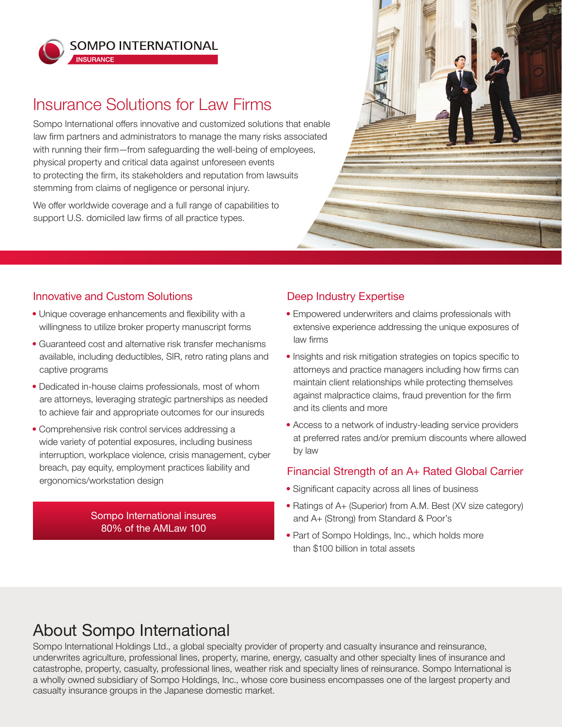

**INSURANCE** 

**SOMPO INTERNATIONAL** 

## Insurance Solutions for Law Firms

Sompo International offers innovative and customized solutions that enable law firm partners and administrators to manage the many risks associated with running their firm—from safeguarding the well-being of employees, physical property and critical data against unforeseen events to protecting the firm, its stakeholders and reputation from lawsuits stemming from claims of negligence or personal injury.

We offer worldwide coverage and a full range of capabilities to support U.S. domiciled law firms of all practice types.



### Innovative and Custom Solutions

- Unique coverage enhancements and flexibility with a willingness to utilize broker property manuscript forms
- Guaranteed cost and alternative risk transfer mechanisms available, including deductibles, SIR, retro rating plans and captive programs
- Dedicated in-house claims professionals, most of whom are attorneys, leveraging strategic partnerships as needed to achieve fair and appropriate outcomes for our insureds
- Comprehensive risk control services addressing a wide variety of potential exposures, including business interruption, workplace violence, crisis management, cyber breach, pay equity, employment practices liability and ergonomics/workstation design

#### Sompo International insures 80% of the AMLaw 100

## Deep Industry Expertise

- Empowered underwriters and claims professionals with extensive experience addressing the unique exposures of law firms
- Insights and risk mitigation strategies on topics specific to attorneys and practice managers including how firms can maintain client relationships while protecting themselves against malpractice claims, fraud prevention for the firm and its clients and more
- Access to a network of industry-leading service providers at preferred rates and/or premium discounts where allowed by law

### Financial Strength of an A+ Rated Global Carrier

- Significant capacity across all lines of business
- Ratings of A+ (Superior) from A.M. Best (XV size category) and A+ (Strong) from Standard & Poor's
- Part of Sompo Holdings, Inc., which holds more than \$100 billion in total assets

# About Sompo International

Sompo International Holdings Ltd., a global specialty provider of property and casualty insurance and reinsurance, underwrites agriculture, professional lines, property, marine, energy, casualty and other specialty lines of insurance and catastrophe, property, casualty, professional lines, weather risk and specialty lines of reinsurance. Sompo International is a wholly owned subsidiary of Sompo Holdings, Inc., whose core business encompasses one of the largest property and casualty insurance groups in the Japanese domestic market.